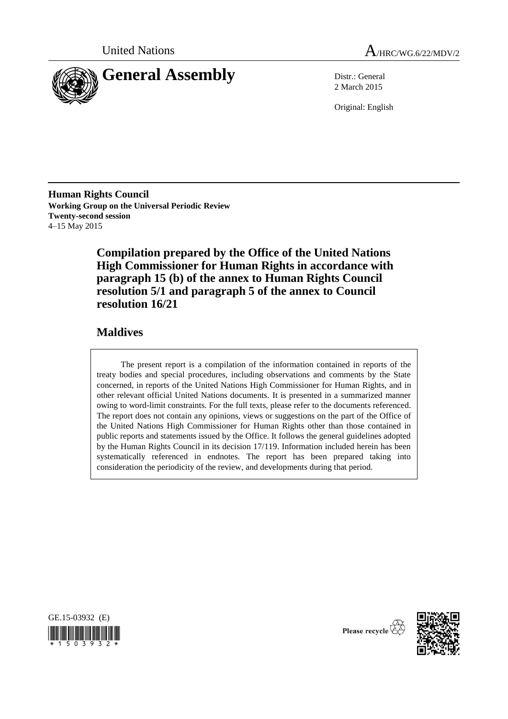



2 March 2015

Original: English

**Human Rights Council Working Group on the Universal Periodic Review Twenty-second session** 4–15 May 2015

> **Compilation prepared by the Office of the United Nations High Commissioner for Human Rights in accordance with paragraph 15 (b) of the annex to Human Rights Council resolution 5/1 and paragraph 5 of the annex to Council resolution 16/21**

### **Maldives**

The present report is a compilation of the information contained in reports of the treaty bodies and special procedures, including observations and comments by the State concerned, in reports of the United Nations High Commissioner for Human Rights, and in other relevant official United Nations documents. It is presented in a summarized manner owing to word-limit constraints. For the full texts, please refer to the documents referenced. The report does not contain any opinions, views or suggestions on the part of the Office of the United Nations High Commissioner for Human Rights other than those contained in public reports and statements issued by the Office. It follows the general guidelines adopted by the Human Rights Council in its decision 17/119. Information included herein has been systematically referenced in endnotes. The report has been prepared taking into consideration the periodicity of the review, and developments during that period.



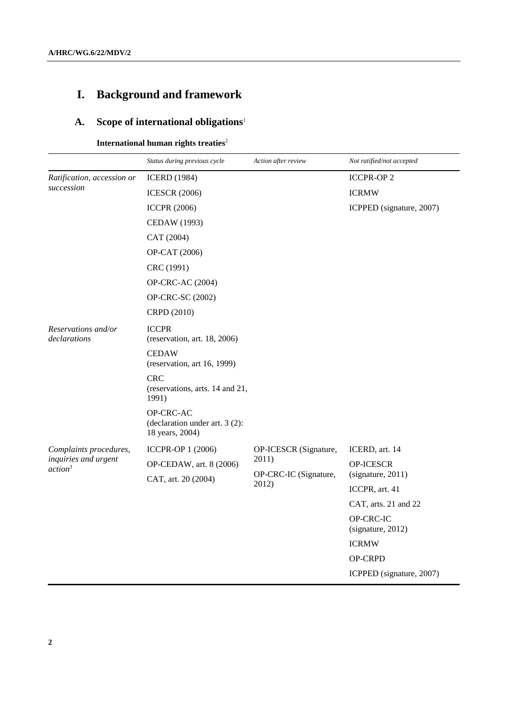# **I. Background and framework**

# **A. Scope of international obligations**<sup>1</sup>

**International human rights treaties** 2

|                                             | Status during previous cycle                                   | Action after review            | Not ratified/not accepted      |
|---------------------------------------------|----------------------------------------------------------------|--------------------------------|--------------------------------|
| Ratification, accession or<br>succession    | <b>ICERD</b> (1984)                                            |                                | <b>ICCPR-OP 2</b>              |
|                                             | <b>ICESCR (2006)</b>                                           |                                | <b>ICRMW</b>                   |
|                                             | <b>ICCPR (2006)</b>                                            |                                | ICPPED (signature, 2007)       |
|                                             | CEDAW (1993)                                                   |                                |                                |
|                                             | CAT (2004)                                                     |                                |                                |
|                                             | OP-CAT (2006)                                                  |                                |                                |
|                                             | CRC (1991)                                                     |                                |                                |
|                                             | OP-CRC-AC (2004)                                               |                                |                                |
|                                             | OP-CRC-SC (2002)                                               |                                |                                |
|                                             | CRPD (2010)                                                    |                                |                                |
| Reservations and/or<br>declarations         | <b>ICCPR</b><br>(reservation, art. $18, 2006$ )                |                                |                                |
|                                             | <b>CEDAW</b><br>(reservation, art 16, 1999)                    |                                |                                |
|                                             | <b>CRC</b><br>(reservations, arts. 14 and 21,<br>1991)         |                                |                                |
|                                             | OP-CRC-AC<br>(declaration under art. 3 (2):<br>18 years, 2004) |                                |                                |
| Complaints procedures,                      | ICCPR-OP 1 (2006)                                              | OP-ICESCR (Signature,          | ICERD, art. 14                 |
| inquiries and urgent<br>action <sup>3</sup> | OP-CEDAW, art. 8 (2006)                                        | 2011)                          | OP-ICESCR                      |
|                                             | CAT, art. 20 (2004)                                            | OP-CRC-IC (Signature,<br>2012) | (signature, 2011)              |
|                                             |                                                                |                                | ICCPR, art. 41                 |
|                                             |                                                                |                                | CAT, arts. 21 and 22           |
|                                             |                                                                |                                | OP-CRC-IC<br>(signature, 2012) |
|                                             |                                                                |                                | <b>ICRMW</b>                   |
|                                             |                                                                |                                | OP-CRPD                        |
|                                             |                                                                |                                | ICPPED (signature, 2007)       |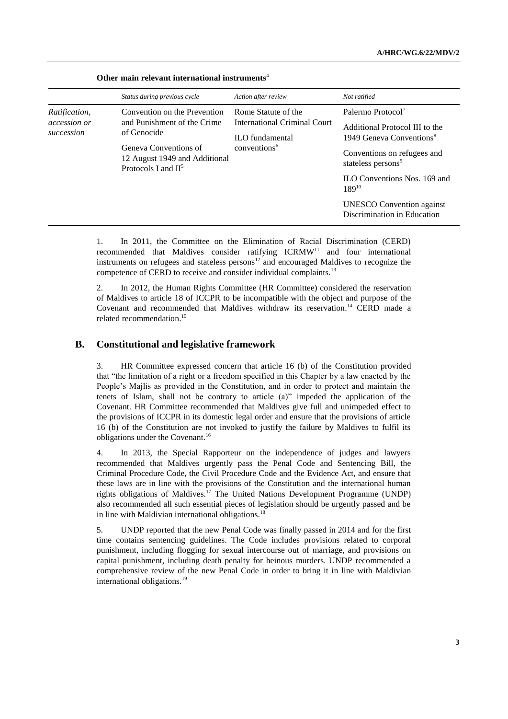|                                                    | Status during previous cycle                                                                                                                                  | Action after review                                                                                       | Not ratified                                                                                                                                                                                                                                                                              |
|----------------------------------------------------|---------------------------------------------------------------------------------------------------------------------------------------------------------------|-----------------------------------------------------------------------------------------------------------|-------------------------------------------------------------------------------------------------------------------------------------------------------------------------------------------------------------------------------------------------------------------------------------------|
| <i>Ratification,</i><br>accession or<br>succession | Convention on the Prevention<br>and Punishment of the Crime<br>of Genocide<br>Geneva Conventions of<br>12 August 1949 and Additional<br>Protocols I and $II5$ | Rome Statute of the<br>International Criminal Court<br><b>ILO</b> fundamental<br>conventions <sup>6</sup> | Palermo Protocol <sup>7</sup><br>Additional Protocol III to the<br>1949 Geneva Conventions <sup>8</sup><br>Conventions on refugees and<br>stateless persons <sup>9</sup><br>ILO Conventions Nos. 169 and<br>$189^{10}$<br><b>UNESCO</b> Convention against<br>Discrimination in Education |

#### **Other main relevant international instruments**<sup>4</sup>

1. In 2011, the Committee on the Elimination of Racial Discrimination (CERD) recommended that Maldives consider ratifying ICRMW<sup>11</sup> and four international instruments on refugees and stateless persons $12$  and encouraged Maldives to recognize the competence of CERD to receive and consider individual complaints.<sup>13</sup>

2. In 2012, the Human Rights Committee (HR Committee) considered the reservation of Maldives to article 18 of ICCPR to be incompatible with the object and purpose of the Covenant and recommended that Maldives withdraw its reservation. <sup>14</sup> CERD made a related recommendation. 15

### **B. Constitutional and legislative framework**

3. HR Committee expressed concern that article 16 (b) of the Constitution provided that "the limitation of a right or a freedom specified in this Chapter by a law enacted by the People's Majlis as provided in the Constitution, and in order to protect and maintain the tenets of Islam, shall not be contrary to article (a)" impeded the application of the Covenant. HR Committee recommended that Maldives give full and unimpeded effect to the provisions of ICCPR in its domestic legal order and ensure that the provisions of article 16 (b) of the Constitution are not invoked to justify the failure by Maldives to fulfil its obligations under the Covenant.<sup>16</sup>

4. In 2013, the Special Rapporteur on the independence of judges and lawyers recommended that Maldives urgently pass the Penal Code and Sentencing Bill, the Criminal Procedure Code, the Civil Procedure Code and the Evidence Act, and ensure that these laws are in line with the provisions of the Constitution and the international human rights obligations of Maldives.<sup>17</sup> The United Nations Development Programme (UNDP) also recommended all such essential pieces of legislation should be urgently passed and be in line with Maldivian international obligations.<sup>18</sup>

5. UNDP reported that the new Penal Code was finally passed in 2014 and for the first time contains sentencing guidelines. The Code includes provisions related to corporal punishment, including flogging for sexual intercourse out of marriage, and provisions on capital punishment, including death penalty for heinous murders. UNDP recommended a comprehensive review of the new Penal Code in order to bring it in line with Maldivian international obligations.<sup>19</sup>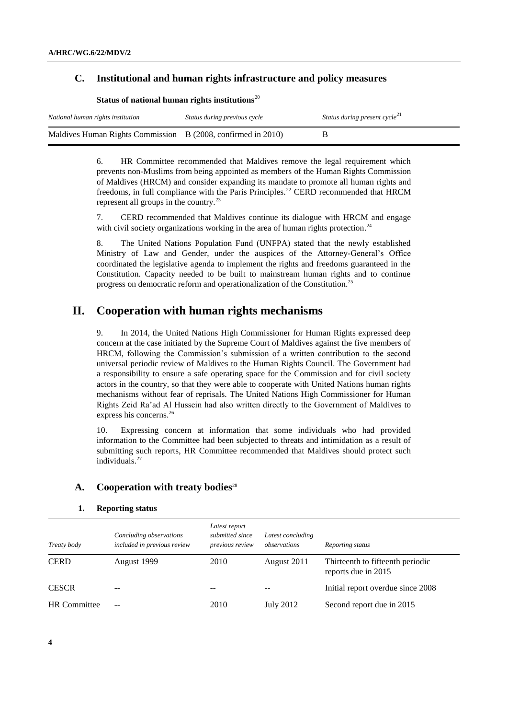### **C. Institutional and human rights infrastructure and policy measures**

| National human rights institution                            | Status during previous cycle | Status during present cycle <sup>21</sup> |
|--------------------------------------------------------------|------------------------------|-------------------------------------------|
| Maldives Human Rights Commission B (2008, confirmed in 2010) |                              |                                           |

**Status of national human rights institutions**<sup>20</sup>

6. HR Committee recommended that Maldives remove the legal requirement which prevents non-Muslims from being appointed as members of the Human Rights Commission of Maldives (HRCM) and consider expanding its mandate to promote all human rights and freedoms, in full compliance with the Paris Principles.<sup>22</sup> CERD recommended that HRCM represent all groups in the country.<sup>23</sup>

7. CERD recommended that Maldives continue its dialogue with HRCM and engage with civil society organizations working in the area of human rights protection.<sup>24</sup>

8. The United Nations Population Fund (UNFPA) stated that the newly established Ministry of Law and Gender, under the auspices of the Attorney-General's Office coordinated the legislative agenda to implement the rights and freedoms guaranteed in the Constitution. Capacity needed to be built to mainstream human rights and to continue progress on democratic reform and operationalization of the Constitution.<sup>25</sup>

### **II. Cooperation with human rights mechanisms**

9. In 2014, the United Nations High Commissioner for Human Rights expressed deep concern at the case initiated by the Supreme Court of Maldives against the five members of HRCM, following the Commission's submission of a written contribution to the second universal periodic review of Maldives to the Human Rights Council. The Government had a responsibility to ensure a safe operating space for the Commission and for civil society actors in the country, so that they were able to cooperate with United Nations human rights mechanisms without fear of reprisals. The United Nations High Commissioner for Human Rights Zeid Ra'ad Al Hussein had also written directly to the Government of Maldives to express his concerns. 26

10. Expressing concern at information that some individuals who had provided information to the Committee had been subjected to threats and intimidation as a result of submitting such reports, HR Committee recommended that Maldives should protect such individuals.<sup>27</sup>

### **A. Cooperation with treaty bodies**<sup>28</sup>

#### **1. Reporting status**

| Treaty body         | Concluding observations<br>included in previous review | Latest report<br>submitted since<br>previous review | Latest concluding<br>observations | Reporting status                                        |
|---------------------|--------------------------------------------------------|-----------------------------------------------------|-----------------------------------|---------------------------------------------------------|
| <b>CERD</b>         | August 1999                                            | 2010                                                | August 2011                       | Thirteenth to fifteenth periodic<br>reports due in 2015 |
| <b>CESCR</b>        | --                                                     |                                                     |                                   | Initial report overdue since 2008                       |
| <b>HR</b> Committee | $- -$                                                  | 2010                                                | July 2012                         | Second report due in 2015                               |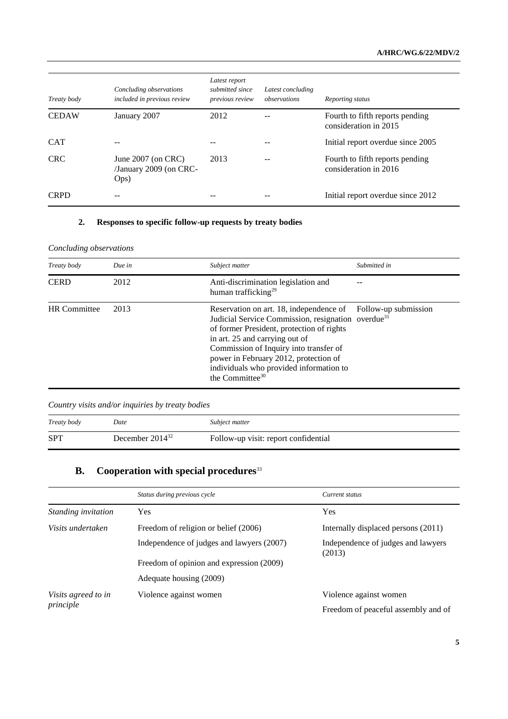| Treaty body  | Concluding observations<br>included in previous review | Latest report<br>submitted since<br>previous review | Latest concluding<br>observations | Reporting status                                         |
|--------------|--------------------------------------------------------|-----------------------------------------------------|-----------------------------------|----------------------------------------------------------|
| <b>CEDAW</b> | January 2007                                           | 2012                                                |                                   | Fourth to fifth reports pending<br>consideration in 2015 |
| <b>CAT</b>   |                                                        |                                                     |                                   | Initial report overdue since 2005                        |
| <b>CRC</b>   | June 2007 (on CRC)<br>/January 2009 (on CRC-<br>Ops)   | 2013                                                |                                   | Fourth to fifth reports pending<br>consideration in 2016 |
| <b>CRPD</b>  | --                                                     |                                                     |                                   | Initial report overdue since 2012                        |

### **2. Responses to specific follow-up requests by treaty bodies**

### *Concluding observations*

| Treaty body         | Due in | Subject matter                                                                                                                                                                                                                                                                                                                                                             | Submitted in |
|---------------------|--------|----------------------------------------------------------------------------------------------------------------------------------------------------------------------------------------------------------------------------------------------------------------------------------------------------------------------------------------------------------------------------|--------------|
| <b>CERD</b>         | 2012   | Anti-discrimination legislation and<br>human trafficking <sup>29</sup>                                                                                                                                                                                                                                                                                                     |              |
| <b>HR</b> Committee | 2013   | Reservation on art. 18, independence of Follow-up submission<br>Judicial Service Commission, resignation overdue <sup>31</sup><br>of former President, protection of rights<br>in art. 25 and carrying out of<br>Commission of Inquiry into transfer of<br>power in February 2012, protection of<br>individuals who provided information to<br>the Committee <sup>30</sup> |              |

*Country visits and/or inquiries by treaty bodies*

| Treaty body | Date                 | Subject matter                       |
|-------------|----------------------|--------------------------------------|
| <b>SPT</b>  | December $2014^{32}$ | Follow-up visit: report confidential |

## **B. Cooperation with special procedures**<sup>33</sup>

|                                  | Status during previous cycle                                                              | Current status                      |
|----------------------------------|-------------------------------------------------------------------------------------------|-------------------------------------|
| Standing invitation              | Yes                                                                                       | Yes                                 |
| Visits undertaken                | Freedom of religion or belief (2006)                                                      | Internally displaced persons (2011) |
|                                  | Independence of judges and lawyers (2007)<br>Independence of judges and lawyers<br>(2013) |                                     |
|                                  | Freedom of opinion and expression (2009)                                                  |                                     |
|                                  | Adequate housing (2009)                                                                   |                                     |
| Visits agreed to in<br>principle | Violence against women                                                                    | Violence against women              |
|                                  |                                                                                           | Freedom of peaceful assembly and of |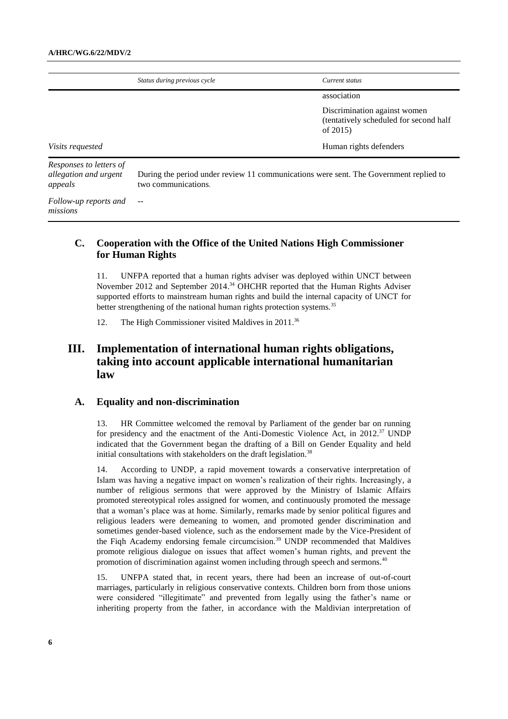|                                                             | Status during previous cycle                                                                                 | Current status                                                                        |
|-------------------------------------------------------------|--------------------------------------------------------------------------------------------------------------|---------------------------------------------------------------------------------------|
|                                                             |                                                                                                              | association                                                                           |
|                                                             |                                                                                                              | Discrimination against women<br>(tentatively scheduled for second half<br>of $2015$ ) |
| <i>Visits requested</i>                                     |                                                                                                              | Human rights defenders                                                                |
| Responses to letters of<br>allegation and urgent<br>appeals | During the period under review 11 communications were sent. The Government replied to<br>two communications. |                                                                                       |
| Follow-up reports and<br>missions                           |                                                                                                              |                                                                                       |

### **C. Cooperation with the Office of the United Nations High Commissioner for Human Rights**

11. UNFPA reported that a human rights adviser was deployed within UNCT between November 2012 and September 2014. <sup>34</sup> OHCHR reported that the Human Rights Adviser supported efforts to mainstream human rights and build the internal capacity of UNCT for better strengthening of the national human rights protection systems.<sup>35</sup>

12. The High Commissioner visited Maldives in 2011. 36

### **III. Implementation of international human rights obligations, taking into account applicable international humanitarian law**

### **A. Equality and non-discrimination**

13. HR Committee welcomed the removal by Parliament of the gender bar on running for presidency and the enactment of the Anti-Domestic Violence Act, in  $2012.^{37}$  UNDP indicated that the Government began the drafting of a Bill on Gender Equality and held initial consultations with stakeholders on the draft legislation.<sup>38</sup>

14. According to UNDP, a rapid movement towards a conservative interpretation of Islam was having a negative impact on women's realization of their rights. Increasingly, a number of religious sermons that were approved by the Ministry of Islamic Affairs promoted stereotypical roles assigned for women, and continuously promoted the message that a woman's place was at home. Similarly, remarks made by senior political figures and religious leaders were demeaning to women, and promoted gender discrimination and sometimes gender-based violence, such as the endorsement made by the Vice-President of the Fiqh Academy endorsing female circumcision.<sup>39</sup> UNDP recommended that Maldives promote religious dialogue on issues that affect women's human rights, and prevent the promotion of discrimination against women including through speech and sermons.<sup>40</sup>

15. UNFPA stated that, in recent years, there had been an increase of out-of-court marriages, particularly in religious conservative contexts. Children born from those unions were considered "illegitimate" and prevented from legally using the father's name or inheriting property from the father, in accordance with the Maldivian interpretation of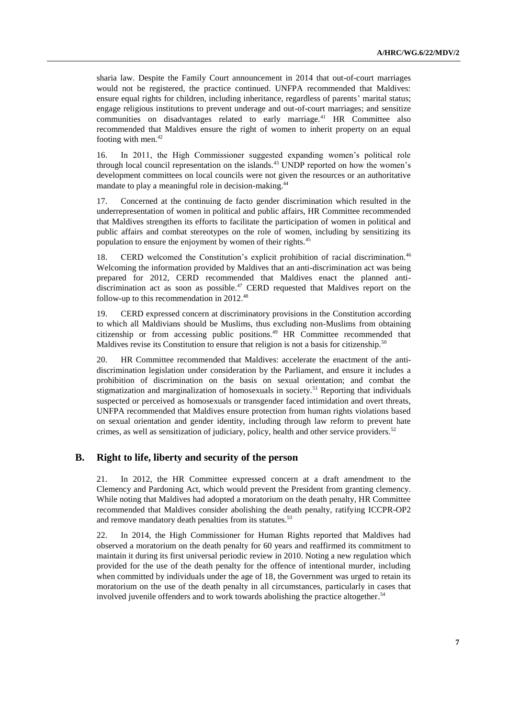sharia law. Despite the Family Court announcement in 2014 that out-of-court marriages would not be registered, the practice continued. UNFPA recommended that Maldives: ensure equal rights for children, including inheritance, regardless of parents' marital status; engage religious institutions to prevent underage and out-of-court marriages; and sensitize communities on disadvantages related to early marriage.<sup>41</sup> HR Committee also recommended that Maldives ensure the right of women to inherit property on an equal footing with men. $42$ 

16. In 2011, the High Commissioner suggested expanding women's political role through local council representation on the islands.<sup>43</sup> UNDP reported on how the women's development committees on local councils were not given the resources or an authoritative mandate to play a meaningful role in decision-making.<sup>44</sup>

17. Concerned at the continuing de facto gender discrimination which resulted in the underrepresentation of women in political and public affairs, HR Committee recommended that Maldives strengthen its efforts to facilitate the participation of women in political and public affairs and combat stereotypes on the role of women, including by sensitizing its population to ensure the enjoyment by women of their rights.<sup>45</sup>

18. CERD welcomed the Constitution's explicit prohibition of racial discrimination.<sup>46</sup> Welcoming the information provided by Maldives that an anti-discrimination act was being prepared for 2012, CERD recommended that Maldives enact the planned antidiscrimination act as soon as possible.<sup>47</sup> CERD requested that Maldives report on the follow-up to this recommendation in 2012.<sup>48</sup>

19. CERD expressed concern at discriminatory provisions in the Constitution according to which all Maldivians should be Muslims, thus excluding non-Muslims from obtaining citizenship or from accessing public positions.<sup>49</sup> HR Committee recommended that Maldives revise its Constitution to ensure that religion is not a basis for citizenship.<sup>50</sup>

20. HR Committee recommended that Maldives: accelerate the enactment of the antidiscrimination legislation under consideration by the Parliament, and ensure it includes a prohibition of discrimination on the basis on sexual orientation; and combat the stigmatization and marginalization of homosexuals in society.<sup>51</sup> Reporting that individuals suspected or perceived as homosexuals or transgender faced intimidation and overt threats, UNFPA recommended that Maldives ensure protection from human rights violations based on sexual orientation and gender identity, including through law reform to prevent hate crimes, as well as sensitization of judiciary, policy, health and other service providers.<sup>52</sup>

### **B. Right to life, liberty and security of the person**

21. In 2012, the HR Committee expressed concern at a draft amendment to the Clemency and Pardoning Act, which would prevent the President from granting clemency. While noting that Maldives had adopted a moratorium on the death penalty, HR Committee recommended that Maldives consider abolishing the death penalty, ratifying ICCPR-OP2 and remove mandatory death penalties from its statutes.<sup>53</sup>

22. In 2014, the High Commissioner for Human Rights reported that Maldives had observed a moratorium on the death penalty for 60 years and reaffirmed its commitment to maintain it during its first universal periodic review in 2010. Noting a new regulation which provided for the use of the death penalty for the offence of intentional murder, including when committed by individuals under the age of 18, the Government was urged to retain its moratorium on the use of the death penalty in all circumstances, particularly in cases that involved juvenile offenders and to work towards abolishing the practice altogether.<sup>54</sup>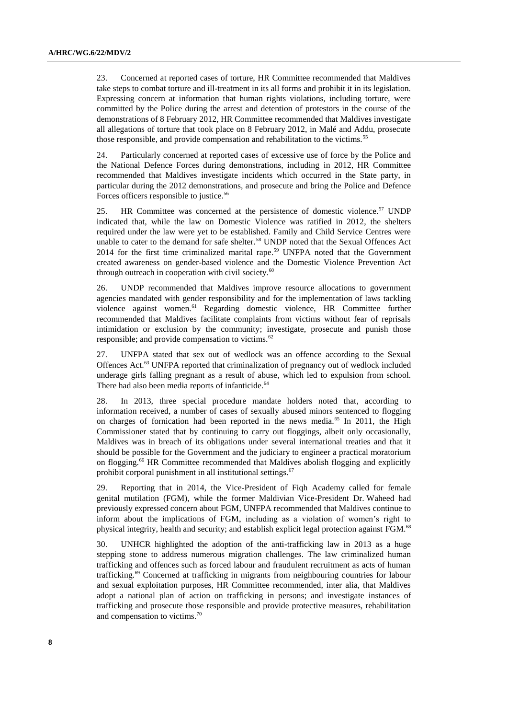23. Concerned at reported cases of torture, HR Committee recommended that Maldives take steps to combat torture and ill-treatment in its all forms and prohibit it in its legislation. Expressing concern at information that human rights violations, including torture, were committed by the Police during the arrest and detention of protestors in the course of the demonstrations of 8 February 2012, HR Committee recommended that Maldives investigate all allegations of torture that took place on 8 February 2012, in Malé and Addu, prosecute those responsible, and provide compensation and rehabilitation to the victims.<sup>55</sup>

24. Particularly concerned at reported cases of excessive use of force by the Police and the National Defence Forces during demonstrations, including in 2012, HR Committee recommended that Maldives investigate incidents which occurred in the State party, in particular during the 2012 demonstrations, and prosecute and bring the Police and Defence Forces officers responsible to justice. 56

25. HR Committee was concerned at the persistence of domestic violence.<sup>57</sup> UNDP indicated that, while the law on Domestic Violence was ratified in 2012, the shelters required under the law were yet to be established. Family and Child Service Centres were unable to cater to the demand for safe shelter.<sup>58</sup> UNDP noted that the Sexual Offences Act 2014 for the first time criminalized marital rape. <sup>59</sup> UNFPA noted that the Government created awareness on gender-based violence and the Domestic Violence Prevention Act through outreach in cooperation with civil society. $60$ 

26. UNDP recommended that Maldives improve resource allocations to government agencies mandated with gender responsibility and for the implementation of laws tackling violence against women.<sup>61</sup> Regarding domestic violence, HR Committee further recommended that Maldives facilitate complaints from victims without fear of reprisals intimidation or exclusion by the community; investigate, prosecute and punish those responsible; and provide compensation to victims.<sup>62</sup>

27. UNFPA stated that sex out of wedlock was an offence according to the Sexual Offences Act.<sup>63</sup> UNFPA reported that criminalization of pregnancy out of wedlock included underage girls falling pregnant as a result of abuse, which led to expulsion from school. There had also been media reports of infanticide.<sup>64</sup>

28. In 2013, three special procedure mandate holders noted that, according to information received, a number of cases of sexually abused minors sentenced to flogging on charges of fornication had been reported in the news media.<sup>65</sup> In 2011, the High Commissioner stated that by continuing to carry out floggings, albeit only occasionally, Maldives was in breach of its obligations under several international treaties and that it should be possible for the Government and the judiciary to engineer a practical moratorium on flogging.<sup>66</sup> HR Committee recommended that Maldives abolish flogging and explicitly prohibit corporal punishment in all institutional settings. $67$ 

29. Reporting that in 2014, the Vice-President of Fiqh Academy called for female genital mutilation (FGM), while the former Maldivian Vice-President Dr. Waheed had previously expressed concern about FGM, UNFPA recommended that Maldives continue to inform about the implications of FGM, including as a violation of women's right to physical integrity, health and security; and establish explicit legal protection against FGM.<sup>68</sup>

30. UNHCR highlighted the adoption of the anti-trafficking law in 2013 as a huge stepping stone to address numerous migration challenges. The law criminalized human trafficking and offences such as forced labour and fraudulent recruitment as acts of human trafficking.<sup>69</sup> Concerned at trafficking in migrants from neighbouring countries for labour and sexual exploitation purposes, HR Committee recommended, inter alia, that Maldives adopt a national plan of action on trafficking in persons; and investigate instances of trafficking and prosecute those responsible and provide protective measures, rehabilitation and compensation to victims.70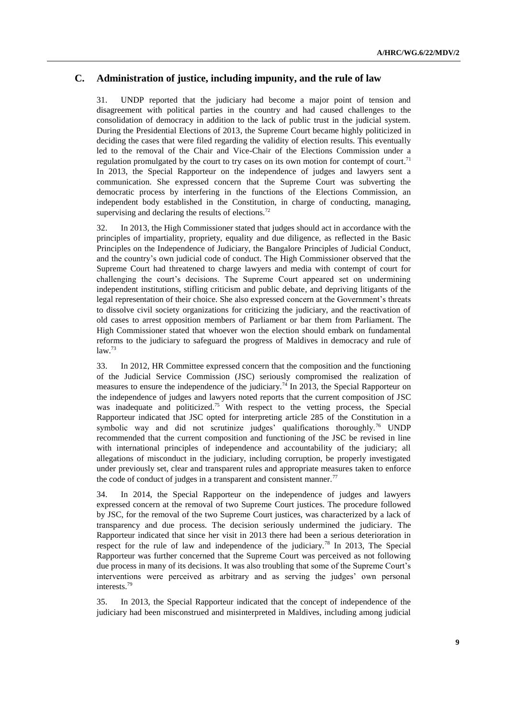### **C. Administration of justice, including impunity, and the rule of law**

31. UNDP reported that the judiciary had become a major point of tension and disagreement with political parties in the country and had caused challenges to the consolidation of democracy in addition to the lack of public trust in the judicial system. During the Presidential Elections of 2013, the Supreme Court became highly politicized in deciding the cases that were filed regarding the validity of election results. This eventually led to the removal of the Chair and Vice-Chair of the Elections Commission under a regulation promulgated by the court to try cases on its own motion for contempt of court.<sup>71</sup> In 2013, the Special Rapporteur on the independence of judges and lawyers sent a communication. She expressed concern that the Supreme Court was subverting the democratic process by interfering in the functions of the Elections Commission, an independent body established in the Constitution, in charge of conducting, managing, supervising and declaring the results of elections.<sup>72</sup>

32. In 2013, the High Commissioner stated that judges should act in accordance with the principles of impartiality, propriety, equality and due diligence, as reflected in the Basic Principles on the Independence of Judiciary, the Bangalore Principles of Judicial Conduct, and the country's own judicial code of conduct. The High Commissioner observed that the Supreme Court had threatened to charge lawyers and media with contempt of court for challenging the court's decisions. The Supreme Court appeared set on undermining independent institutions, stifling criticism and public debate, and depriving litigants of the legal representation of their choice. She also expressed concern at the Government's threats to dissolve civil society organizations for criticizing the judiciary, and the reactivation of old cases to arrest opposition members of Parliament or bar them from Parliament. The High Commissioner stated that whoever won the election should embark on fundamental reforms to the judiciary to safeguard the progress of Maldives in democracy and rule of  $law.<sup>73</sup>$ 

33. In 2012, HR Committee expressed concern that the composition and the functioning of the Judicial Service Commission (JSC) seriously compromised the realization of measures to ensure the independence of the judiciary.<sup>74</sup> In 2013, the Special Rapporteur on the independence of judges and lawyers noted reports that the current composition of JSC was inadequate and politicized.<sup>75</sup> With respect to the vetting process, the Special Rapporteur indicated that JSC opted for interpreting article 285 of the Constitution in a symbolic way and did not scrutinize judges' qualifications thoroughly.<sup>76</sup> UNDP recommended that the current composition and functioning of the JSC be revised in line with international principles of independence and accountability of the judiciary; all allegations of misconduct in the judiciary, including corruption, be properly investigated under previously set, clear and transparent rules and appropriate measures taken to enforce the code of conduct of judges in a transparent and consistent manner.<sup>77</sup>

34. In 2014, the Special Rapporteur on the independence of judges and lawyers expressed concern at the removal of two Supreme Court justices. The procedure followed by JSC, for the removal of the two Supreme Court justices, was characterized by a lack of transparency and due process. The decision seriously undermined the judiciary. The Rapporteur indicated that since her visit in 2013 there had been a serious deterioration in respect for the rule of law and independence of the judiciary.<sup>78</sup> In 2013, The Special Rapporteur was further concerned that the Supreme Court was perceived as not following due process in many of its decisions. It was also troubling that some of the Supreme Court's interventions were perceived as arbitrary and as serving the judges' own personal interests.<sup>79</sup>

35. In 2013, the Special Rapporteur indicated that the concept of independence of the judiciary had been misconstrued and misinterpreted in Maldives, including among judicial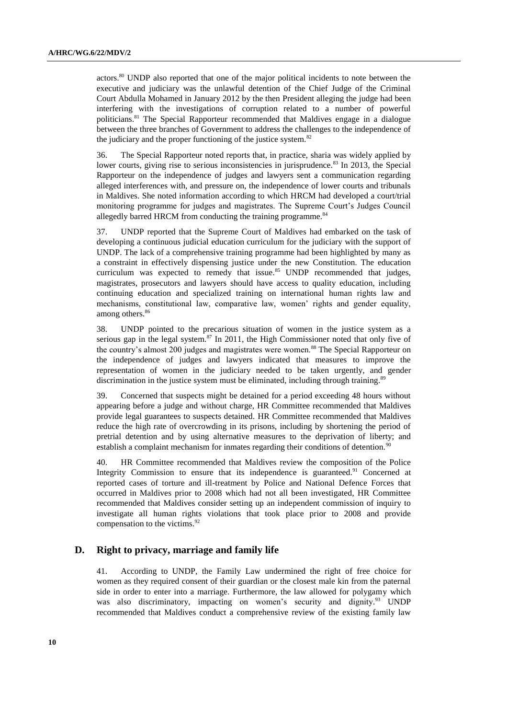actors.<sup>80</sup> UNDP also reported that one of the major political incidents to note between the executive and judiciary was the unlawful detention of the Chief Judge of the Criminal Court Abdulla Mohamed in January 2012 by the then President alleging the judge had been interfering with the investigations of corruption related to a number of powerful politicians.<sup>81</sup> The Special Rapporteur recommended that Maldives engage in a dialogue between the three branches of Government to address the challenges to the independence of the judiciary and the proper functioning of the justice system. $82$ 

36. The Special Rapporteur noted reports that, in practice, sharia was widely applied by lower courts, giving rise to serious inconsistencies in jurisprudence.<sup>83</sup> In 2013, the Special Rapporteur on the independence of judges and lawyers sent a communication regarding alleged interferences with, and pressure on, the independence of lower courts and tribunals in Maldives. She noted information according to which HRCM had developed a court/trial monitoring programme for judges and magistrates. The Supreme Court's Judges Council allegedly barred HRCM from conducting the training programme.<sup>84</sup>

37. UNDP reported that the Supreme Court of Maldives had embarked on the task of developing a continuous judicial education curriculum for the judiciary with the support of UNDP. The lack of a comprehensive training programme had been highlighted by many as a constraint in effectively dispensing justice under the new Constitution. The education curriculum was expected to remedy that issue.<sup>85</sup> UNDP recommended that judges, magistrates, prosecutors and lawyers should have access to quality education, including continuing education and specialized training on international human rights law and mechanisms, constitutional law, comparative law, women' rights and gender equality, among others.<sup>86</sup>

38. UNDP pointed to the precarious situation of women in the justice system as a serious gap in the legal system. $87$  In 2011, the High Commissioner noted that only five of the country's almost 200 judges and magistrates were women.<sup>88</sup> The Special Rapporteur on the independence of judges and lawyers indicated that measures to improve the representation of women in the judiciary needed to be taken urgently, and gender discrimination in the justice system must be eliminated, including through training.<sup>89</sup>

39. Concerned that suspects might be detained for a period exceeding 48 hours without appearing before a judge and without charge, HR Committee recommended that Maldives provide legal guarantees to suspects detained. HR Committee recommended that Maldives reduce the high rate of overcrowding in its prisons, including by shortening the period of pretrial detention and by using alternative measures to the deprivation of liberty; and establish a complaint mechanism for inmates regarding their conditions of detention.<sup>9</sup>

40. HR Committee recommended that Maldives review the composition of the Police Integrity Commission to ensure that its independence is guaranteed.<sup>91</sup> Concerned at reported cases of torture and ill-treatment by Police and National Defence Forces that occurred in Maldives prior to 2008 which had not all been investigated, HR Committee recommended that Maldives consider setting up an independent commission of inquiry to investigate all human rights violations that took place prior to 2008 and provide compensation to the victims.<sup>92</sup>

### **D. Right to privacy, marriage and family life**

41. According to UNDP, the Family Law undermined the right of free choice for women as they required consent of their guardian or the closest male kin from the paternal side in order to enter into a marriage. Furthermore, the law allowed for polygamy which was also discriminatory, impacting on women's security and dignity.<sup>93</sup> UNDP recommended that Maldives conduct a comprehensive review of the existing family law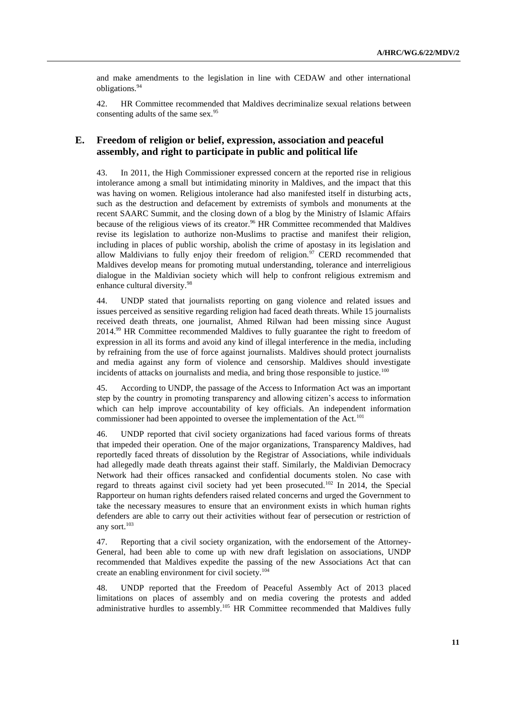and make amendments to the legislation in line with CEDAW and other international obligations.<sup>94</sup>

42. HR Committee recommended that Maldives decriminalize sexual relations between consenting adults of the same sex.<sup>95</sup>

### **E. Freedom of religion or belief, expression, association and peaceful assembly, and right to participate in public and political life**

43. In 2011, the High Commissioner expressed concern at the reported rise in religious intolerance among a small but intimidating minority in Maldives, and the impact that this was having on women. Religious intolerance had also manifested itself in disturbing acts, such as the destruction and defacement by extremists of symbols and monuments at the recent SAARC Summit, and the closing down of a blog by the Ministry of Islamic Affairs because of the religious views of its creator.<sup>96</sup> HR Committee recommended that Maldives revise its legislation to authorize non-Muslims to practise and manifest their religion, including in places of public worship, abolish the crime of apostasy in its legislation and allow Maldivians to fully enjoy their freedom of religion.<sup>97</sup> CERD recommended that Maldives develop means for promoting mutual understanding, tolerance and interreligious dialogue in the Maldivian society which will help to confront religious extremism and enhance cultural diversity.<sup>98</sup>

44. UNDP stated that journalists reporting on gang violence and related issues and issues perceived as sensitive regarding religion had faced death threats. While 15 journalists received death threats, one journalist, Ahmed Rilwan had been missing since August 2014.<sup>99</sup> HR Committee recommended Maldives to fully guarantee the right to freedom of expression in all its forms and avoid any kind of illegal interference in the media, including by refraining from the use of force against journalists. Maldives should protect journalists and media against any form of violence and censorship. Maldives should investigate incidents of attacks on journalists and media, and bring those responsible to justice. $100$ 

45. According to UNDP, the passage of the Access to Information Act was an important step by the country in promoting transparency and allowing citizen's access to information which can help improve accountability of key officials. An independent information commissioner had been appointed to oversee the implementation of the Act.<sup>101</sup>

46. UNDP reported that civil society organizations had faced various forms of threats that impeded their operation. One of the major organizations, Transparency Maldives, had reportedly faced threats of dissolution by the Registrar of Associations, while individuals had allegedly made death threats against their staff. Similarly, the Maldivian Democracy Network had their offices ransacked and confidential documents stolen. No case with regard to threats against civil society had yet been prosecuted.<sup>102</sup> In 2014, the Special Rapporteur on human rights defenders raised related concerns and urged the Government to take the necessary measures to ensure that an environment exists in which human rights defenders are able to carry out their activities without fear of persecution or restriction of any sort.<sup>103</sup>

47. Reporting that a civil society organization, with the endorsement of the Attorney-General, had been able to come up with new draft legislation on associations, UNDP recommended that Maldives expedite the passing of the new Associations Act that can create an enabling environment for civil society.<sup>104</sup>

48. UNDP reported that the Freedom of Peaceful Assembly Act of 2013 placed limitations on places of assembly and on media covering the protests and added administrative hurdles to assembly.<sup>105</sup> HR Committee recommended that Maldives fully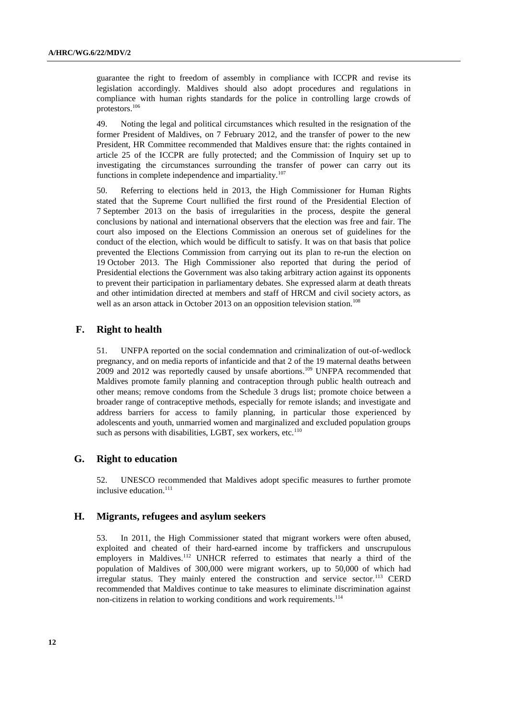guarantee the right to freedom of assembly in compliance with ICCPR and revise its legislation accordingly. Maldives should also adopt procedures and regulations in compliance with human rights standards for the police in controlling large crowds of protestors.<sup>106</sup>

49. Noting the legal and political circumstances which resulted in the resignation of the former President of Maldives, on 7 February 2012, and the transfer of power to the new President, HR Committee recommended that Maldives ensure that: the rights contained in article 25 of the ICCPR are fully protected; and the Commission of Inquiry set up to investigating the circumstances surrounding the transfer of power can carry out its functions in complete independence and impartiality.<sup>107</sup>

50. Referring to elections held in 2013, the High Commissioner for Human Rights stated that the Supreme Court nullified the first round of the Presidential Election of 7 September 2013 on the basis of irregularities in the process, despite the general conclusions by national and international observers that the election was free and fair. The court also imposed on the Elections Commission an onerous set of guidelines for the conduct of the election, which would be difficult to satisfy. It was on that basis that police prevented the Elections Commission from carrying out its plan to re-run the election on 19 October 2013. The High Commissioner also reported that during the period of Presidential elections the Government was also taking arbitrary action against its opponents to prevent their participation in parliamentary debates. She expressed alarm at death threats and other intimidation directed at members and staff of HRCM and civil society actors, as well as an arson attack in October 2013 on an opposition television station.<sup>108</sup>

### **F. Right to health**

51. UNFPA reported on the social condemnation and criminalization of out-of-wedlock pregnancy, and on media reports of infanticide and that 2 of the 19 maternal deaths between 2009 and 2012 was reportedly caused by unsafe abortions.<sup>109</sup> UNFPA recommended that Maldives promote family planning and contraception through public health outreach and other means; remove condoms from the Schedule 3 drugs list; promote choice between a broader range of contraceptive methods, especially for remote islands; and investigate and address barriers for access to family planning, in particular those experienced by adolescents and youth, unmarried women and marginalized and excluded population groups such as persons with disabilities, LGBT, sex workers, etc.<sup>110</sup>

### **G. Right to education**

52. UNESCO recommended that Maldives adopt specific measures to further promote inclusive education. 111

### **H. Migrants, refugees and asylum seekers**

53. In 2011, the High Commissioner stated that migrant workers were often abused, exploited and cheated of their hard-earned income by traffickers and unscrupulous employers in Maldives.<sup>112</sup> UNHCR referred to estimates that nearly a third of the population of Maldives of 300,000 were migrant workers, up to 50,000 of which had irregular status. They mainly entered the construction and service sector.<sup>113</sup> CERD recommended that Maldives continue to take measures to eliminate discrimination against non-citizens in relation to working conditions and work requirements.<sup>114</sup>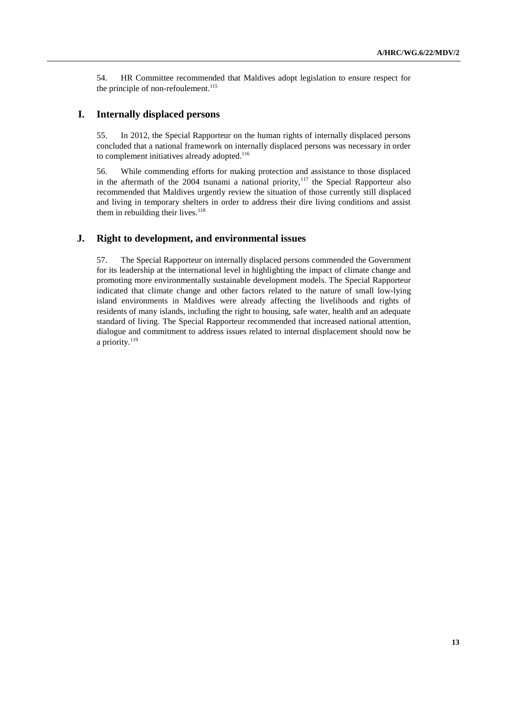54. HR Committee recommended that Maldives adopt legislation to ensure respect for the principle of non-refoulement. 115

### **I. Internally displaced persons**

55. In 2012, the Special Rapporteur on the human rights of internally displaced persons concluded that a national framework on internally displaced persons was necessary in order to complement initiatives already adopted.<sup>116</sup>

56. While commending efforts for making protection and assistance to those displaced in the aftermath of the  $2004$  tsunami a national priority,<sup>117</sup> the Special Rapporteur also recommended that Maldives urgently review the situation of those currently still displaced and living in temporary shelters in order to address their dire living conditions and assist them in rebuilding their lives. $118$ 

### **J. Right to development, and environmental issues**

57. The Special Rapporteur on internally displaced persons commended the Government for its leadership at the international level in highlighting the impact of climate change and promoting more environmentally sustainable development models. The Special Rapporteur indicated that climate change and other factors related to the nature of small low-lying island environments in Maldives were already affecting the livelihoods and rights of residents of many islands, including the right to housing, safe water, health and an adequate standard of living. The Special Rapporteur recommended that increased national attention, dialogue and commitment to address issues related to internal displacement should now be a priority. $119$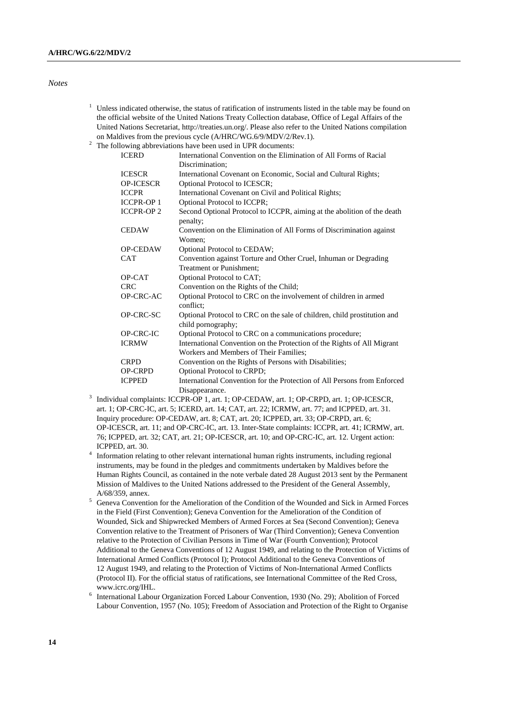#### *Notes*

- $1$  Unless indicated otherwise, the status of ratification of instruments listed in the table may be found on the official website of the United Nations Treaty Collection database, Office of Legal Affairs of the United Nations Secretariat[, http://treaties.un.org/.](http://treaties.un.org/) Please also refer to the United Nations compilation on Maldives from the previous cycle (A/HRC/WG.6/9/MDV/2/Rev.1).
- <sup>2</sup> The following abbreviations have been used in UPR documents:

| <b>ICERD</b>     | International Convention on the Elimination of All Forms of Racial       |
|------------------|--------------------------------------------------------------------------|
|                  | Discrimination;                                                          |
| <b>ICESCR</b>    | International Covenant on Economic, Social and Cultural Rights;          |
| <b>OP-ICESCR</b> | Optional Protocol to ICESCR;                                             |
| <b>ICCPR</b>     | International Covenant on Civil and Political Rights;                    |
| <b>ICCPR-OP1</b> | Optional Protocol to ICCPR;                                              |
| <b>ICCPR-OP2</b> | Second Optional Protocol to ICCPR, aiming at the abolition of the death  |
|                  | penalty;                                                                 |
| <b>CEDAW</b>     | Convention on the Elimination of All Forms of Discrimination against     |
|                  | Women:                                                                   |
| <b>OP-CEDAW</b>  | <b>Optional Protocol to CEDAW;</b>                                       |
| <b>CAT</b>       | Convention against Torture and Other Cruel, Inhuman or Degrading         |
|                  | <b>Treatment or Punishment:</b>                                          |
| OP-CAT           | Optional Protocol to CAT;                                                |
| <b>CRC</b>       | Convention on the Rights of the Child;                                   |
| OP-CRC-AC        | Optional Protocol to CRC on the involvement of children in armed         |
|                  | conflict:                                                                |
| OP-CRC-SC        | Optional Protocol to CRC on the sale of children, child prostitution and |
|                  | child pornography;                                                       |
| OP-CRC-IC        | Optional Protocol to CRC on a communications procedure;                  |
| <b>ICRMW</b>     | International Convention on the Protection of the Rights of All Migrant  |
|                  | Workers and Members of Their Families;                                   |
| <b>CRPD</b>      | Convention on the Rights of Persons with Disabilities;                   |
| <b>OP-CRPD</b>   | Optional Protocol to CRPD;                                               |
| <b>ICPPED</b>    | International Convention for the Protection of All Persons from Enforced |
|                  | Disappearance.                                                           |

- Disappearance. 3 Individual complaints: ICCPR-OP 1, art. 1; OP-CEDAW, art. 1; OP-CRPD, art. 1; OP-ICESCR, art. 1; OP-CRC-IC, art. 5; ICERD, art. 14; CAT, art. 22; ICRMW, art. 77; and ICPPED, art. 31. Inquiry procedure: OP-CEDAW, art. 8; CAT, art. 20; ICPPED, art. 33; OP-CRPD, art. 6; OP-ICESCR, art. 11; and OP-CRC-IC, art. 13. Inter-State complaints: ICCPR, art. 41; ICRMW, art. 76; ICPPED, art. 32; CAT, art. 21; OP-ICESCR, art. 10; and OP-CRC-IC, art. 12. Urgent action: ICPPED, art. 30.
- <sup>4</sup> Information relating to other relevant international human rights instruments, including regional instruments, may be found in the pledges and commitments undertaken by Maldives before the Human Rights Council, as contained in the note verbale dated 28 August 2013 sent by the Permanent Mission of Maldives to the United Nations addressed to the President of the General Assembly, A/68/359, annex.
- <sup>5</sup> Geneva Convention for the Amelioration of the Condition of the Wounded and Sick in Armed Forces in the Field (First Convention); Geneva Convention for the Amelioration of the Condition of Wounded, Sick and Shipwrecked Members of Armed Forces at Sea (Second Convention); Geneva Convention relative to the Treatment of Prisoners of War (Third Convention); Geneva Convention relative to the Protection of Civilian Persons in Time of War (Fourth Convention); Protocol Additional to the Geneva Conventions of 12 August 1949, and relating to the Protection of Victims of International Armed Conflicts (Protocol I); Protocol Additional to the Geneva Conventions of 12 August 1949, and relating to the Protection of Victims of Non-International Armed Conflicts (Protocol II). For the official status of ratifications, see International Committee of the Red Cross, www.icrc.org/IHL.
- 6 International Labour Organization Forced Labour Convention, 1930 (No. 29); Abolition of Forced Labour Convention, 1957 (No. 105); Freedom of Association and Protection of the Right to Organise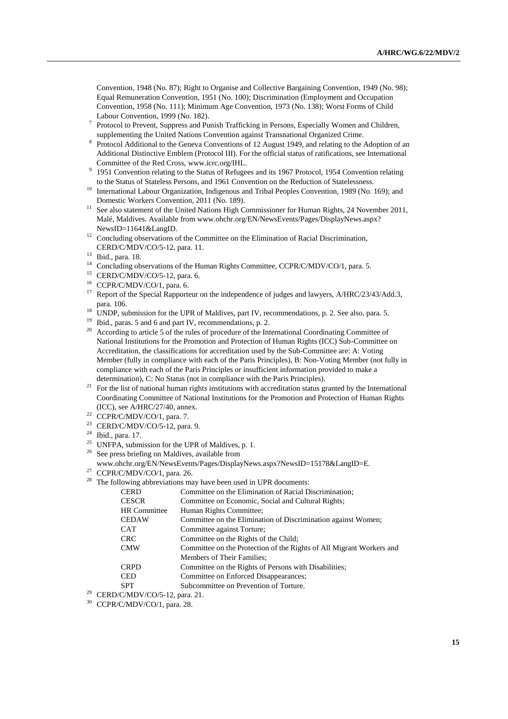Convention, 1948 (No. 87); Right to Organise and Collective Bargaining Convention, 1949 (No. 98); Equal Remuneration Convention, 1951 (No. 100); Discrimination (Employment and Occupation Convention, 1958 (No. 111); Minimum Age Convention, 1973 (No. 138); Worst Forms of Child Labour Convention, 1999 (No. 182).

- 7 Protocol to Prevent, Suppress and Punish Trafficking in Persons, Especially Women and Children, supplementing the United Nations Convention against Transnational Organized Crime.
- <sup>8</sup> Protocol Additional to the Geneva Conventions of 12 August 1949, and relating to the Adoption of an Additional Distinctive Emblem (Protocol III). For the official status of ratifications, see International Committee of the Red Cross, www.icrc.org/IHL.
- <sup>9</sup> 1951 Convention relating to the Status of Refugees and its 1967 Protocol, 1954 Convention relating to the Status of Stateless Persons, and 1961 Convention on the Reduction of Statelessness.
- <sup>10</sup> International Labour Organization, Indigenous and Tribal Peoples Convention, 1989 (No. 169); and Domestic Workers Convention, 2011 (No. 189).
- <sup>11</sup> See also statement of the United Nations High Commissioner for Human Rights, 24 November 2011, Malé, Maldives. Available from www.ohchr.org/EN/NewsEvents/Pages/DisplayNews.aspx? NewsID=11641&LangID.
- <sup>12</sup> Concluding observations of the Committee on the Elimination of Racial Discrimination, CERD/C/MDV/CO/5-12, para. 11.

- <sup>14</sup> Concluding observations of the Human Rights Committee, CCPR/C/MDV/CO/1, para. 5.
- <sup>15</sup> CERD/C/MDV/CO/5-12, para. 6.
- <sup>16</sup> CCPR/C/MDV/CO/1, para. 6.
- <sup>17</sup> Report of the Special Rapporteur on the independence of judges and lawyers, A/HRC/23/43/Add.3, para. 106.
- <sup>18</sup> UNDP, submission for the UPR of Maldives, part IV, recommendations, p. 2. See also, para. 5.
- <sup>19</sup> Ibid., paras. 5 and 6 and part IV, recommendations, p. 2.<br><sup>20</sup> Aggorithm to orticle 5 of the males of precedure of the Int
- According to article 5 of the rules of procedure of the International Coordinating Committee of National Institutions for the Promotion and Protection of Human Rights (ICC) Sub-Committee on Accreditation, the classifications for accreditation used by the Sub-Committee are: A: Voting Member (fully in compliance with each of the Paris Principles), B: Non-Voting Member (not fully in compliance with each of the Paris Principles or insufficient information provided to make a determination), C: No Status (not in compliance with the Paris Principles).
- <sup>21</sup> For the list of national human rights institutions with accreditation status granted by the International Coordinating Committee of National Institutions for the Promotion and Protection of Human Rights (ICC), see A/HRC/27/40, annex.
- $22$  CCPR/C/MDV/CO/1, para. 7.
- <sup>23</sup> CERD/C/MDV/CO/5-12, para. 9.
- <sup>24</sup> Ibid., para. 17.
- <sup>25</sup> UNFPA, submission for the UPR of Maldives, p. 1.
- <sup>26</sup> See press briefing on Maldives, available from
- www.ohchr.org/EN/NewsEvents/Pages/DisplayNews.aspx?NewsID=15178&LangID=E.
- $27$  CCPR/C/MDV/CO/1, para. 26.
- $28$  The following abbreviations may have been used in UPR documents:

| CERD                | Committee on the Elimination of Racial Discrimination;               |
|---------------------|----------------------------------------------------------------------|
| CESCR               | Committee on Economic, Social and Cultural Rights;                   |
| <b>HR Committee</b> | Human Rights Committee;                                              |
| CEDAW               | Committee on the Elimination of Discrimination against Women;        |
| CAT                 | Committee against Torture;                                           |
| CRC                 | Committee on the Rights of the Child:                                |
| CMW                 | Committee on the Protection of the Rights of All Migrant Workers and |
|                     | Members of Their Families:                                           |
| CRPD                | Committee on the Rights of Persons with Disabilities;                |
| CED                 | Committee on Enforced Disappearances;                                |
| SPT                 | Subcommittee on Prevention of Torture.                               |

<sup>29</sup> CERD/C/MDV/CO/5-12, para. 21.

<sup>13</sup> Ibid., para. 18.

<sup>30</sup> CCPR/C/MDV/CO/1, para. 28.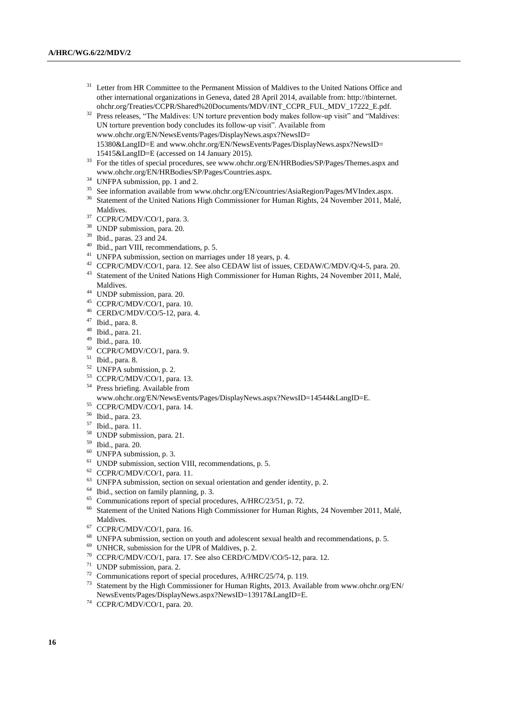- Letter from HR Committee to the Permanent Mission of Maldives to the United Nations Office and other international organizations in Geneva, dated 28 April 2014, available from: http://tbinternet. ohchr.org/Treaties/CCPR/Shared%20Documents/MDV/INT\_CCPR\_FUL\_MDV\_17222\_E.pdf.
- <sup>32</sup> Press releases, "The Maldives: UN torture prevention body makes follow-up visit" and "Maldives: UN torture prevention body concludes its follow-up visit". Available from www.ohchr.org/EN/NewsEvents/Pages/DisplayNews.aspx?NewsID= 15380&LangID=E and www.ohchr.org/EN/NewsEvents/Pages/DisplayNews.aspx?NewsID= 15415&LangID=E (accessed on 14 January 2015).
- <sup>33</sup> For the titles of special procedures, see www.ohchr.org/EN/HRBodies/SP/Pages/Themes.aspx and www.ohchr.org/EN/HRBodies/SP/Pages/Countries.aspx.
- <sup>34</sup> UNFPA submission, pp. 1 and 2.
- <sup>35</sup> See information available from www.ohchr.org/EN/countries/AsiaRegion/Pages/MVIndex.aspx.
- <sup>36</sup> Statement of the United Nations High Commissioner for Human Rights, 24 November 2011, Malé, Maldives.
- <sup>37</sup> CCPR/C/MDV/CO/1, para. 3.
- <sup>38</sup> UNDP submission, para. 20.
- <sup>39</sup> Ibid., paras. 23 and 24.
- <sup>40</sup> Ibid., part VIII, recommendations, p. 5.
- <sup>41</sup> UNFPA submission, section on marriages under 18 years, p. 4.
- <sup>42</sup> CCPR/C/MDV/CO/1, para. 12. See also CEDAW list of issues, CEDAW/C/MDV/Q/4-5, para. 20.
- <sup>43</sup> Statement of the United Nations High Commissioner for Human Rights, 24 November 2011, Malé, Maldives.
- <sup>44</sup> UNDP submission, para. 20.
- <sup>45</sup> CCPR/C/MDV/CO/1, para. 10.
- <sup>46</sup> CERD/C/MDV/CO/5-12, para. 4.
- <sup>47</sup> Ibid., para. 8.
- <sup>48</sup> Ibid., para. 21.
- <sup>49</sup> Ibid., para. 10.
- <sup>50</sup> CCPR/C/MDV/CO/1, para. 9.
- <sup>51</sup> Ibid., para. 8.
- <sup>52</sup> UNFPA submission, p. 2.
- <sup>53</sup> CCPR/C/MDV/CO/1, para. 13.
- <sup>54</sup> Press briefing. Available from

www.ohchr.org/EN/NewsEvents/Pages/DisplayNews.aspx?NewsID=14544&LangID=E.

- <sup>55</sup> CCPR/C/MDV/CO/1, para. 14.
- <sup>56</sup> Ibid., para. 23.
- <sup>57</sup> Ibid., para. 11.
- <sup>58</sup> UNDP submission, para. 21.
- <sup>59</sup> Ibid., para. 20.
- <sup>60</sup> UNFPA submission, p. 3.
- <sup>61</sup> UNDP submission, section VIII, recommendations, p. 5.
- <sup>62</sup> CCPR/C/MDV/CO/1, para. 11.
- <sup>63</sup> UNFPA submission, section on sexual orientation and gender identity, p. 2.
- <sup>64</sup> Ibid., section on family planning, p. 3.
- <sup>65</sup> Communications report of special procedures, A/HRC/23/51, p. 72.
- <sup>66</sup> Statement of the United Nations High Commissioner for Human Rights, 24 November 2011, Malé, Maldives.
- <sup>67</sup> CCPR/C/MDV/CO/1, para. 16.
- <sup>68</sup> UNFPA submission, section on youth and adolescent sexual health and recommendations, p. 5.
- <sup>69</sup> UNHCR, submission for the UPR of Maldives, p. 2.
- <sup>70</sup> CCPR/C/MDV/CO/1, para. 17. See also CERD/C/MDV/CO/5-12, para. 12.
- <sup>71</sup> UNDP submission, para. 2.
- <sup>72</sup> Communications report of special procedures,  $A/HRC/25/74$ , p. 119.<br><sup>73</sup> Statement by the Uigh Commissions for University 2013, April
- <sup>73</sup> Statement by the High Commissioner for Human Rights, 2013. Available from www.ohchr.org/EN/ NewsEvents/Pages/DisplayNews.aspx?NewsID=13917&LangID=E.
- <sup>74</sup> CCPR/C/MDV/CO/1, para. 20.